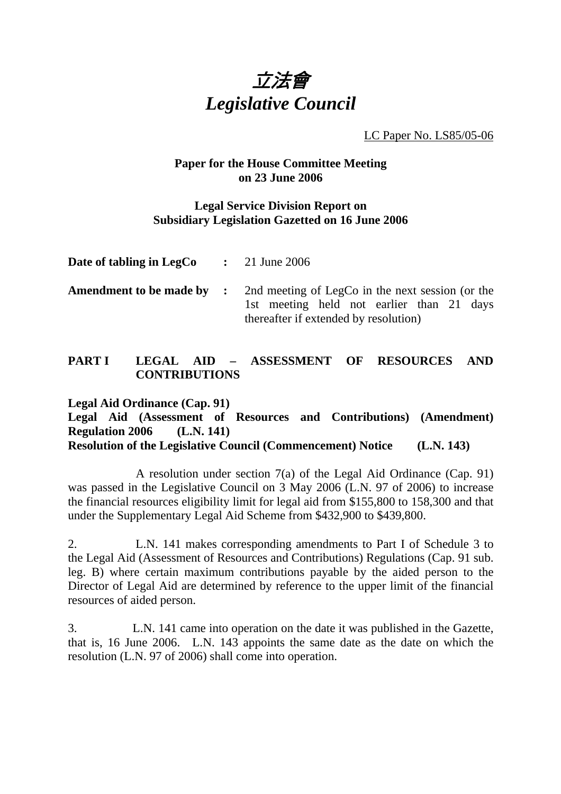

LC Paper No. LS85/05-06

### **Paper for the House Committee Meeting on 23 June 2006**

### **Legal Service Division Report on Subsidiary Legislation Gazetted on 16 June 2006**

| Date of tabling in LegCo  | $\therefore$ 21 June 2006                                                                                                              |
|---------------------------|----------------------------------------------------------------------------------------------------------------------------------------|
| Amendment to be made by : | 2nd meeting of LegCo in the next session (or the<br>1st meeting held not earlier than 21 days<br>thereafter if extended by resolution) |

# **PART I LEGAL AID – ASSESSMENT OF RESOURCES AND CONTRIBUTIONS**

**Legal Aid Ordinance (Cap. 91) Legal Aid (Assessment of Resources and Contributions) (Amendment) Regulation 2006 (L.N. 141) Resolution of the Legislative Council (Commencement) Notice (L.N. 143)** 

 A resolution under section 7(a) of the Legal Aid Ordinance (Cap. 91) was passed in the Legislative Council on 3 May 2006 (L.N. 97 of 2006) to increase the financial resources eligibility limit for legal aid from \$155,800 to 158,300 and that under the Supplementary Legal Aid Scheme from \$432,900 to \$439,800.

2. L.N. 141 makes corresponding amendments to Part I of Schedule 3 to the Legal Aid (Assessment of Resources and Contributions) Regulations (Cap. 91 sub. leg. B) where certain maximum contributions payable by the aided person to the Director of Legal Aid are determined by reference to the upper limit of the financial resources of aided person.

3. L.N. 141 came into operation on the date it was published in the Gazette, that is, 16 June 2006. L.N. 143 appoints the same date as the date on which the resolution (L.N. 97 of 2006) shall come into operation.